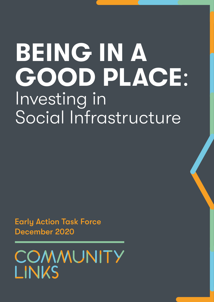# BEING IN A GOOD PLACE: Investing in Social Infrastructure

Early Action Task Force December 2020

COMMUNITY LINKS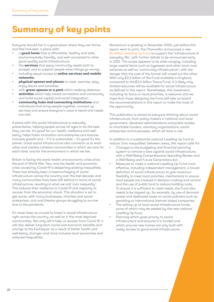# Summary of key points

Everyone should live in a good place where they can thrive and feel included, a place with:

- a good home that is affordable, healthy and safe, environmentally friendly, and well connected to other good quality social infrastructure;
- the services that every community needs both to prosper and to support people when things go wrong;
- including equal access to **online services and mobile** networks**;**
- physical spaces and places to meet, exercise, play, enjoy leisure and socialise;
- with green spaces or a park within walking distance;
- activities which help create connection and community and build social capital and social integration;
- community hubs and connecting institutions and individuals that bring people together, connect up services and ensure everyone's voice is heard and needs are met.

A place with this social infrastructure is naturally preventative, helping people across all ages to be the best they can be. It's good for our health, resilience and wellbeing, helps foster innovation and enterprise and ensures inclusive growth and – if it is sustainable – it's good for the planet. Good social infrastructure also connects us to each other and creates cohesive communities in which we care for each other and for the environment in which we live.

Britain is facing the worst health and economic crisis since the end of World War Two, and the health and economic crisis caused by Covid-19 is deepening existing inequalities. There has already been a haemorrhaging of social infrastructure across the country over the last decade; and many communities have been left behind in terms of social infrastructure, resulting in what we call 'civic inequality'. This reduces their resilience to Covid-19 and capacity to recover from the economic shock. This situation is set to get worse, with many businesses, charities and social enterprises, arts and theatre groups struggling to survive due to the pandemic.

It's never been so crucial to invest in social infrastructure right across the country, as well as in the most deprived communities. Not only will it help us recover from Covid-19, it will also deliver long-term social and economic benefits and savings to the Exchequer as a result of better health and well-being, stronger and more inclusive local economies and reduced inequalities.

Momentum is growing: in November 2020, just before this [report](https://www.dannykruger.org.uk/communities-report) went to print, the Chancellor announced a new £[4 billion Levelling Up Fund](https://www.gov.uk/government/publications/spending-review-2020-documents/spending-review-2020) to support the 'infrastructure of everyday life', with further details to be announced early in 2021. The scope appears to be wide-ranging, including large capital items such as bypasses and other local road schemes as well as 'community infrastructure', with the danger that the cost of the former will crowd out the other.<sup>1</sup> With only £3.2 billion of the Fund available in England, compared to the £3.6 billion Towns Fund, it is likely only limited resources will be available for social infrastructure as defined in this report. Nonetheless, this investment, including its focus on local priorities, is welcome and we hope that those designing the Fund will take on board the recommendations in this report to make the most of the opportunity.

This publication is aimed at everyone thinking about social infrastructure, from policy-makers in national and local government, devolved administrations and public bodies, to charitable funders, voluntary organisations, social enterprises and businesses, which all have a role.

In addition to a substantial national Levelling Up fund to reduce 'civic inequalites' between areas, this report calls for:

- Changes to the budgeting and financial planning system to remove a bias against social infrastructure, with a Well-Being Comprehensive Spending Review and a Well-Being and Future Generations Act.
- Measures to make a national Levelling Up Fund more effective, including independent management, a broad definition of social infrastructure to give maximum flexibility to meet local priorities, mechanisms to ensure local people are involved in decision-making and control and the use of public land to reduce building costs. To ensure it is sufficient to meet needs, the Fund also needs to be topped up, for example, by use of dormant assets and dedicated taxes on social polluters such as gambling or international internet based companies.
- The setting up of local social infrastructure funds, some of which may be seeded by the new national Levelling Up fund.
- Planning which gives priority to social infrastructure and ensures it is funded and which ensures new homes are only built with ready access to good social infrastructure.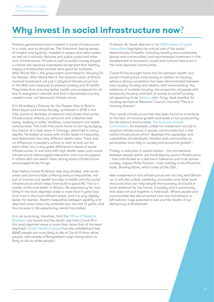# Why invest in social infrastructure now?

Previous generations have invested in social infrastructure in a crisis, and so should we. The Victorians, facing waves of cholera and typhoid, invested in sewers and clean water, as well as in schools, libraries and public parks and other civic infrastructure. Private as well as public money played a critical role because businesses recognised that healthy, happy and educated workers were good for business. After World War I, the government committed to 'Housing Fit for Heroes'. After World War II, the reconstruction of Britain involved investment not just in physical infrastructure but in the NHS and measures to prevent poverty and ill-health. They knew that ensuring better health and prospects for all was in everyone's interests and that a devastated country needed more, not less social infrastructure.

Eric Klinenberg's *Palaces for the People*: *How to Build a More Equal and United Society*, published in 2018 in the USA, points to decades of research that shows that social infrastructure affects our personal and collective wellbeing, leading to safer, healthier, more tolerant and stable communities. This truth first came home to him by studying the impact of a heat wave in Chicago, which led to many deaths. He looked at areas with similar levels of inequality and deprivation but very different death rates. There was no difference in people's culture or wish to look out for each other, but a very great difference in levels of social infrastructure. In one area with high death rates, poor social infrastructure discouraged interaction and mutual support. In others with low death rates, strong social infrastructure encouraged those things.

Even before Covid-19, Britain was very divided, with some areas and communities suffering serious inequalities, not just of income and wealth but also in health and the social infrastructure which helps them build a good life. This is a matter of life and death. In Britain, life expectancy for men living in the most deprived areas is more than 9 years less than men in the most affluent areas, and it is only slightly better for women. Health inequalities between wealthy and deprived areas have only widened over the last 10 years, and the increase in life expectancy overall has stalled.

It is not surprising, therefore, that the [Office of National](https://www.ons.gov.uk/peoplepopulationandcommunity/birthsdeathsandmarriages/deaths/bulletins/deathsinvolvingcovid19bylocalareasanddeprivation/deathsoccurringbetween1marchand31july2020)  [Statistics](https://www.ons.gov.uk/peoplepopulationandcommunity/birthsdeathsandmarriages/deaths/bulletins/deathsinvolvingcovid19bylocalareasanddeprivation/deathsoccurringbetween1marchand31july2020) has found that the death rate from Covid-19 in the most deprived areas is more than twice that of the least deprived.2 [Public Health England](https://assets.publishing.service.gov.uk/government/uploads/system/uploads/attachment_data/file/908434/Disparities_in_the_risk_and_outcomes_of_COVID_August_2020_update.pdf) has also established that BAME people are more likely to die of Covid-19 than white people, with people of Bangladeshi origin being twice as likely to die as white people.<sup>3</sup>

Professor Sir Derek Marmot in his [2020 review of health](https://www.health.org.uk/sites/default/files/upload/publications/2020/Health%20Equity%20in%20England_The%20Marmot%20Review%2010%20Years%20On_full%20report.pdf)  [inequalities](https://www.health.org.uk/sites/default/files/upload/publications/2020/Health%20Equity%20in%20England_The%20Marmot%20Review%2010%20Years%20On_full%20report.pdf) highlights the critical role of the social determinants of health, including healthy and sustainable places and communities, and recommends investment in the development of economic, social and cultural resources in the most deprived communities.

Covid-19 has brought home the link between health and social infrastructure most starkly in relation to housing. where a strong correlation has been demonstrated between poor quality housing and deaths, with overcrowding, the existence of multiple housing, the proportion of people with temporary housing and lack of access to social housing all appearing to be [factors](https://www.insidehousing.co.uk/insight/the-housing-pandemic-four-graphs-showing-the-link-between-covid-19-deaths-and-the-housing-crisis-66562). John Gray, lead member for housing services at Newham Council, has said 'This is a housing disease'.<sup>4</sup>

Poor social infrastructure has also been found to contribute to the lack of inclusive growth and levels of low productivity for left behind communities. The [Inclusive Growth](https://www.thersa.org/globalassets/pdfs/reports/rsa_inclusive-growth-commission-final-report-march-2017.pdf)  [Commission](https://www.thersa.org/globalassets/pdfs/reports/rsa_inclusive-growth-commission-final-report-march-2017.pdf), for example, called for investment not just in physical infrastructure in poorer communities but in the social infrastructure which 'develops the capacities and capabilities of individuals, families and communities to participate more fully in society and economic growth'.5

Finally, a reduction in social capital – the connections between people which are facilitated by social infrastructure – has contributed to a decline in tolerance and trust across society, argues Philip Putnam, most notably in his influential book, *Bowling Alone*, which looks at the USA.

New investment in this infrastructure will not only level Britain up, it will also unlock creativity, innovation and other local resources that can help rebuild the economy and build in local resilience for the future. A society and a community that does not pull together is held back. Where people and communities feel disconnected from the mainstream or left behind, huge potential is lost and the health of our democracy is threatened.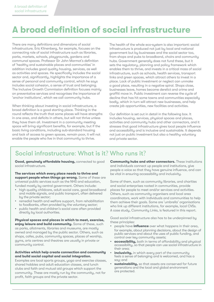# A broad definition of social infrastructure

There are many definitions and dimensions of social infrastructure. Eric Klinenberg, for example, focuses on the connecting role of social infrastructure such as libraries, parks, markets, schools, playgrounds, gardens and communal spaces. Professor Sir John Marmot's definition of 'healthy and sustainable places and communities' in addition includes good quality housing, services, as well as activities and spaces. He specifically includes the social sector and, significantly, highlights the importance of a sense of personal and community control, which he says includes social cohesion, a sense of trust and belonging. The Inclusive Growth Commission definition focuses mainly on preventative services and recognises the importance of 'anchor institutions', which we call community hubs.

When thinking about investing in social infrastructure, a broad definition is a good starting place. Thinking in the round reflects the truth that some places will have strengths in one area, and deficits in others, but will not thrive unless they have them all. Investment in a community meeting space will bring significant benefits, for example, but if the basic living conditions, including sub-standard housing and lack of access to green spaces, remain poor, it will not enable the people who live in that community to thrive.

The health of the whole eco-system is also important: social infrastructure is produced not just by local and national government but by businesses and the social sector too, from shops and pubs to broadband, choirs and community hubs. Government generally does not fund these, but it sets the regulatory, planning and policy framework which enables them to thrive, and invests in a critical mass of social infrastructure, such as schools, health services, transport links and green spaces, which attract others to invest in a place. Lack of public investment or neglect can unmake a good place, resulting in a negative spiral. Shops close, businesses leave, homes become derelict and crime and graffiti move in. Public investment can reverse the cucle of decline that has hit some towns and communities especially badly, which in turn will attract new businesses, and help create job opportunities, new facilities and activities.

Our definition is set out in detail in the following box. It includes housing, services, physical spaces and places, activities and community hubs and other connectors, and it stresses that good infrastructure gives local people influence and accessibility and is inclusive and sustainable. It depends not just on public investment but also a healthy voluntary and private sector.

#### Social infrastructure: What is it? Who runs it?

Good, genuinely affordable housing, connected to good social infrastructure.

The services which every place needs to thrive and support people when things go wrong. Some of these are universal public services such as the NHS and education, funded mostly by central government. Others include:

- high quality childcare, adult social care, good broadband and mobile signals, and public transport, often delivered by the private sector;
- remedial health and welfare support, from rehabilitation to foodbanks, often provided by the voluntary sector;
- public health and children's social care often provided directly by local authorities.

Physical spaces and places in which to meet, exercise, enjoy leisure and build community. Some of these, such as parks, allotments, libraries and museums, are mostly owned and managed by the public sector. Others, such as shops, cafes, pubs, community spaces, places of worship, gyms, arts centres and theatres are usually in private or community control.

#### Activities which help create connection and community and build social capital and social integration.

Examples are local sports groups, yoga and exercise classes, shared hobbies and adult education classes, and lunch clubs and faith and mutual aid groups which support the community. These are mostly run by the community, not for profit, faith groups and the private sector.

Community hubs and other connectors. These institutions and individuals connect up people and institutions, give people a voice so that they have genuine influence, and can be vital in ensuring accessibility and inclusivity.

Some of them, such as community libraries, and charities and social enterprises rooted in communities, provide places for people to meet and/or services and activities. Others, such as community organisers and local area coordinators, work with individuals and communities to help them achieve their goals. Some are 'umbrella' organisations who link up different institutions, for example, local CVSs. A case study, Community Links, is featured in this report.

Good social infrastructure also has to be underpinned by these principles:

- people have **influence** over what happens in their area, for example, about planning decisions, about the design of public services and about the uses of public funding, and control over key community assets;
- accessibility, both in terms of affordability and physical accessibility, so that people can use social infrastructure in their area;
- inclusivity, in which every part of the community feels a sense of belonging and is welcomed, and has a say; and
- sustainability, so that assets are conserved for future generations and the local and global environment are protected.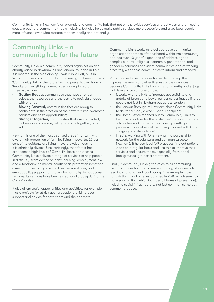Community Links in Newham is an example of a community hub that not only provides services and activities and a meeting space, creating a community that is inclusive, but also helps make public services more accessible and gives local people more influence over what matters to them locally and nationally.

#### Community Links – a community hub for the future

Community Links is a community-based organisation and charity based in Newham in East London, founded in 1977. It is located in the old Canning Town Public Hall, built in Victorian times as a hub for its community, and seeks to be a 'Community Hub of the future,' with a preventative vision of 'Ready for Everything Communities' underpinned by three aspirations:

- **Getting Ready, communities that have stronger** voices, the resources and the desire to actively engage with change;
- **Moving Forward, communities that are ready to** participate in the creation of their own futures, overcome barriers and seize opportunities;
- **Stronger Together, communities that are connected,** inclusive and cohesive, willing to come together, build solidarity and act.

Newham is one of the most deprived areas in Britain, with a very high proportion of families living in poverty. 25 per cent of its residents are living in overcrowded housing. It is ethnically diverse. Unsurprisingly, therefore it has experienced high levels of Covid-19 illness and deaths. Community Links delivers a range of services to help people in difficulty, from advice on debt, housing, employment law and a foodbank, to mental health crisis prevention initiatives aimed at those facing crisis in their personal lives, and employability support for those who normally do not access services. Its services have been exceptionally busy during the Covid-19 crisis.

It also offers social opportunities and activities, for example, music projects for at risk young people, providing peer support and advice for both them and their parents.

Community Links works as a collaborative community organisation for those often unheard within the community and has over 40 years' experience of addressing the complex cultural, religious, economic, generational and gender experiences of distinct communities and of working creatively with those communities to inform and empower.

Public bodies have therefore turned to it to help them improve the reach and effectiveness of their services because Community Links knows its community and enjoys high levels of trust. For example:

- it works with the NHS to increase accessibility and uptake of breast and bowel cancer screening, calling up people not just in Newham but across London;
- the London Borough of Newham chose Community Links to deliver a 7-day a week Covid-19 helpline;
- the Home Office reached out to Community Links to become a partner for the 'knife free' campaign, where advocates work for better relationships with young people who are at risk of becoming involved with knife carrying or knife violence;
- in 2019, working with One Newham (a partnership network for the voluntary and community sector in Newham), it helped local GP practices find out patient views on a regular basis and use this to improve their services and ensure those, especially from at risk backgrounds, get better treatment.

Finally, Community Links gives voice to its community, using its connection to and understanding of its needs to feed into national and local policy. One example is the Early Action Task Force, established in 2011, which seeks to make early action (which includes all forms of prevention), including social infrastructure, not just common sense but common practice.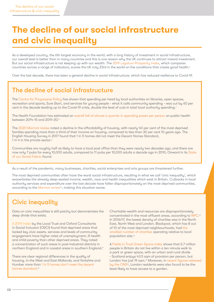# The decline of our social infrastructure and civic inequality

As a developed country, the 6th largest economy in the world, with a long history of investment in social infrastructure, our overall level is better than in many countries and this is one reason why the UK continues to attract inward investment. But our social infrastructure is not keeping up with our wealth. The [2019 Legatum Prosperity Index,](https://www.prosperity.com/rankings) which compares countries across a range of indicators, scores the UK only 23rd in the world on the conditions that create good health.<sup>6</sup>

Over the last decade, there has been a general decline in social infrastructure, which has reduced resilience to Covid-19.

#### The decline of social infrastructure

The [Centre for Progressive Policy](https://www.progressive-policy.net/press-releases/community-spending-decimated-in-the-run-up-to-covid-19-undermining-local-resilience-new-analysis-from-the-centre-for-progressive-policy-shows) has shown that spending per head by local authorities on libraries, open spaces, recreation and sports, Sure Start, and services for young people - what it calls community spending - was cut by 60 per cent in the decade leading up to the Covid-19 crisis, double the level of cuts in total local authority spending.<sup>7</sup>

The Health Foundation has estimated an [overall fall of almost a quarter in spending power per person](https://www.health.org.uk/publications/taking-our-health-for-granted) on public health between 2014-15 and 2019-20.8

The [2020 Marmot review](https://www.health.org.uk/sites/default/files/upload/publications/2020/Health Equity in England_The Marmot Review 10 Years On_full report.pdf) noted a decline in the affordability of housing, with nearly 40 per cent of the most deprived families spending more than a third of their income on housing, compared to less than 30 per cent 10 years ago. The English Housing Survey in 2017 found that 1 in 5 homes did not meet the Decent Homes Standard, 1 in 4 in the private sector.9

Communities are roughly half as likely to have a local post office than they were nearly two decades ago, and there are now only 7 pubs for every 10,000 adults, compared to 11 pubs per 10,000 adults a decade ago in 2010, Onward in its [State](https://www.ukonward.com/socialfabric/)  [of our Social Fabric](https://www.ukonward.com/socialfabric/) found.

As a result of the pandemic, many businesses, charities, social enterprises and arts groups are threatened further.

The most deprived communities often have the worst social infrastructure, resulting in what we call 'civic inequality', which exacerbates the already deep-seated income, wealth, race and health inequalities which exist in Britain. Cutbacks in local authority services and expenditure over the last decade have fallen disproportionately on the most deprived communities, according to the [Marmot review](https://www.health.org.uk/sites/default/files/upload/publications/2020/Health Equity in England_The Marmot Review 10 Years On_full report.pdf)<sup>10</sup>, making this situation worse.

#### Civic inequality

Data on civic inequalities is still patchy but demonstrates the deep divide that exists.

[A 2019 index](https://localtrust.org.uk/wp-content/uploads/2019/08/local_trust_ocsi_left_behind_research_august_2019.pdf) by the Local Trust and Oxford Consultants in Social Inclusion (OSCI) found that deprived areas that lacked key civic assets, services and levels of community engagement have higher rates of unemployment, ill health and child poverty than other deprived areas. They noted a concentration of such areas in post-industrial districts in northern England and in coastal areas in southern England.<sup>11</sup>

There are clear regional differences in the quality of housing. In the West and East Midlands, and Yorkshire and Humber more than 1 in 5 homes don'[t meet the decent](https://www.health.org.uk/sites/default/files/upload/publications/2020/Health Equity in England_The Marmot Review 10 Years On_full report.pdf)  [homes standard](https://www.health.org.uk/sites/default/files/upload/publications/2020/Health Equity in England_The Marmot Review 10 Years On_full report.pdf)<sup>12</sup>

Charitable wealth and resources are disproportionately concentrated in the most affluent areas, according to [NPC](https://www.thinknpc.org/resource-hub/where-are-englands-charities/).13 In 2016/17, the lowest density of charities was in the North East, North West and London. Blackpool, which has 8 out of 10 of the most deprived neighbourhoods, had [the](https://www.health.org.uk/sites/default/files/upload/publications/2020/Health Equity in England_The Marmot Review 10 Years On_full report.pdf)  [smallest number of charities](https://www.health.org.uk/sites/default/files/upload/publications/2020/Health Equity in England_The Marmot Review 10 Years On_full report.pdf) operating relative to local population size.<sup>14</sup>

A [Fields in Trust Green Space index](http://www.fieldsintrust.org/green-space-index) shows that 2.7 million people in Britain do not live within a ten minute walk to a park or green space, with an urban and rural divide - Scotland enjoys 43.5 sqm of provision per person, but London has just 19 sqm.15 Moreover, in [recent figures released](https://www.ons.gov.uk/economy/environmentalaccounts/articles/oneineightbritishhouseholdshasnogarden/2020-05-14)  by the ONS<sup>16</sup>, London residents were also found to be the least likely to have access to a garden.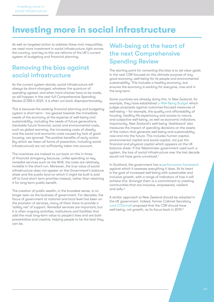# Investing more in social infrastructure

As well as targeted action to address these civic inequalities, we need more investment in social infrastructure right across the country, and key to this are reforms of the UK's current system of budgeting and financial planning.

#### Removing the bias against social infrastructure

As the current system stands, social infrastructure will always be short-changed, whatever the quantum of spending agreed, and when hard choices have to be made, as will happen in the next full Comprehensive Spending Review (CSR) in 2021, it is often cut back disproportionately.

This is because the existing financial planning and budgeting system is short-term - too geared towards the immediate needs of the economy at the expense of well-being and sustainability, including the needs of future generations. Inevitable future financial, social and environmental costs, such as global warming, the increasing costs of obesity and the social and economic costs caused by lack of good housing, are ignored. The positive benefits of early action (by which we mean all forms of prevention, including social infrastructure) are not sufficiently taken into account.

The incentives are instead to cut back on this in times of financial stringency because, unlike spending on key remedial services such as the NHS, the costs are relatively invisible in the short-run. Moreover, the true value of social infrastructure does not appear on the Government's balance sheet and the public land on which it might be built is sold off to fund short term priorities instead, rather than retaining it for long-term public benefit.

The creation of public wealth, in the broadest sense, is no longer seen as the business of government. For decades, the focus of government at national and local level has been on the provision of services, many of them there to provide a 'safety net' of support. Remedial services are important; but it is often ongoing activities, institutions and facilities that add the most long-term value to people's lives and are both preventative and creative, helping people to be the best they can be.

#### Well-being at the heart of the next Comprehensive Spending Review

The starting point for correcting this bias is to set clear goals in the next CSR focused on the ultimate purpose of any good economy: well-being for its people and environmental sustainability. This includes a healthy economy, but ensures the economy is working for everyone, now and in the long-term.

Some countries are already doing this. In New Zealand, for example, they have established a Well-[Being Budget](https://www.treasury.govt.nz/sites/default/files/2019-05/b19-wellbeing-budget.pdf) which judges proposals against outcomes-focused measures of well-being – for example, the quality and affordability of housing, healthy life expectancy and access to nature, and subjective well-being, as well as economic indicators. Importantly, New Zealand's well-being 'dashboard' also measures the impact of spending decisions on the assets of the nation that generate well-being and sustainability, now and into the future. This includes human capital, environmental capital and social capital, not just the financial and physical capital which appears on the UK balance sheet. If the Westminster government used such a system, the loss of social infrastructure over the last decade would not have gone unnoticed.<sup>17</sup>

In Scotland, the government has a [performance framework](https://nationalperformance.gov.scot/)  against which it assesses everything it does. At its heart is the goal of increased well-being with sustainable and inclusive growth, with a range of indicators of how it will achieve this. Amongst them is a commitment to creating communities that are inclusive, empowered, resilient and safe.18

A similar approach to New Zealand should be adopted in the UK government. Indeed, former Cabinet Secretary Lord O'[Donnell](https://www.theguardian.com/politics/2019/may/24/wellbeing-should-replace-growth-as-main-aim-of-uk-spending) proposed that the CSR should have well-being, not growth, as its focus back in 2019.19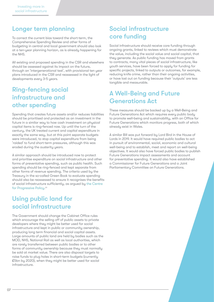#### Longer term planning

To correct the current bias toward the short-term, the Comprehensive Spending Review and other forms of budgeting in central and local government should also look at a ten-year planning horizon, as is already happening for the NHS.

All existing and proposed spending in the CSR and elsewhere should be assessed against its impact on the future, through an 'intergenerational test', with provisional ten year plans introduced in the CSR and reassessed in the light of developments every 3-5 years.

#### Ring-fencing social infrastructure and other spending

Spending that creates future assets and/or reduces liabilities should be prioritised and protected as an investment in the future in a similar way to how cash investment on physical capital items is ring-fenced now. Up until the turn of the century, the UK treated current and capital expenditure in exactly the same way, but at this point separate budgets were introduced, to stop capital expenditure from being 'raided' to fund short-term pressures, although this was eroded during the austerity years.

A similar approach should be introduced now to protect and prioritise expenditure on social infrastructure and other forms of preventative spending, such as public health. Such spending should be ring-fenced and kept separate from other forms of revenue spending. The criteria used by the Treasury in the so-called Green Book to evaluate spending should also be reassessed to ensure it recognises the benefits of social infrastructure sufficiently, as argued by [the Centre](https://www.progressive-policy.net/downloads/files/CPP_Social-Infrastructure_WP_Final_200304_171740.pdf)  [for Progressive Policy](https://www.progressive-policy.net/downloads/files/CPP_Social-Infrastructure_WP_Final_200304_171740.pdf).<sup>20</sup>

#### Using public land for social infrastructure

The Government should change the Cabinet Office rules which encourage the selling off of public assets to private developers where they might be better used for social infrastructure and kept in public or community ownership, producing long term financial and social capital assets. Large amounts of public land are held by bodies such as the MOD, NHS, National Rail as well as local authorities, which are rarely transferred between public bodies or to other forms of community ownership because they must normally be sold at market value. There are also disposal targets to raise funds to plug holes in short-term budgets (currently £5bn by 2020), when they might be better used for social infrastructure.

#### Social infrastructure core funding

Social infrastructure should receive core funding through ongoing grants, linked to reviews which must demonstrate the value, including the social value and social capital, that they generate. As public funding has moved from grants to contracts, many vital pieces of social infrastructure, like youth services, have been forced to apply for funding for specific projects, linked to outputs or outcomes, for example, reducing knife crime, rather than their ongoing activities, or have lost out on funding because their 'outputs' are less tangible and measurable.

#### A Well-Being and Future Generations Act

These measures should be backed up by a Well-Being and Future Generations Act which requires every public body to promote well-being and sustainability, with an Office for Future Generations which monitors progress, both of which already exist in Wales.

A similar Bill was put forward by Lord Bird in the House of Lords in 2019. It would have required public bodies to act in pursuit of environmental, social, economic and cultural well-being and to establish, meet and report on well-being objectives. It would also have forced public bodies to publish Future Generations impact assessments and account for preventative spending. It would also have established a Commissioner for Future Generations and a Joint Parliamentary Committee on Future Generations.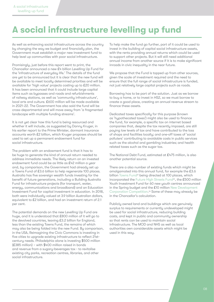# A social infrastructure levelling up fund

As well as enhancing social infrastructure across the country by changing the way we budget and financially plan, the Government must establish a major new investment fund to help level up communities with poor social infrastructure.

Promisingly, just before this report went to print, the Chancellor announced a new £4 billion Levelling Up Fund for the 'infrastructure of everyday life.' The details of the fund are uet to be announced but it is clear that the new fund will be available to meet locally determined priorities and will be available for 'high value' projects costing up to £20 million. It has been announced that it could include large capital items such as bypasses and roads and refurbishments of railway stations, as well as 'community infrastructure', local arts and culture. £600 million will be made available in 2021-22. The Government has also said the fund will be cross-departmental and will move away from 'a fragmented landscape with multiple funding streams'.

It is not yet clear how this fund is being resourced and whether it will include, as suggested by Danny Kruger, in his earlier report to the Prime Minister, dormant insurance accounts worth £2 billion, which Kruger proposes should be used to set up a permanent endowment fund for social infrastructure.

The problem with an endowment fund is that it has to be huge to generate the kind of annual return needed to address immediate needs. The likely return on an invested endowment fund could be as little as £42 million a year and, by comparison, the Government had already set up a Towns Fund of £3.6 billion to help regenerate 100 places. Australia has five sovereign wealth funds investing for the benefit of future generations, including a Building Australia Fund for infrastructure projects (for transport, water, energy, communications and broadband) and an Education Investment Fund for capital investment in education. In 2018, both were individually valued at 3.9 billion Australian dollars, equivalent to £2 billion, and had an investment return of 2.1 per cent.

The potential demands on the new Levelling Up Fund are huge, and it is understood that £800 million of it will go to the devolved countries, leaving £3.2 billion for England, less than the existing Towns Fund, the remains of which may also be being folded into the new Fund. By comparison, in the USA, Reimagining the Civic Commons is investing in five cities to upgrade existing infrastructure to reflect 21stcentury needs. Philadelphia alone is investing \$500 million (£385 million) – with \$400 million raised in bonds and revenue from a sugary-beverages tax - to revitalise existing city parks, recreation centres, libraries, and other social infrastructure.

To help make the fund go further, part of it could be used to invest in the building of capital social infrastructure assets, with the rents providing annual returns which could be used to support other projects. But it will still need additional annual income from another source if it is to make significant inroads in civic inequality in the near future.

We propose that the Fund is topped up from other sources, given the scale of investment required and the need to ensure that the full range of social infrastructure is funded, not just relatively large capital projects such as roads.

Borrowing has to be part of the solution. Just as we borrow to buy a home, or to invest in HS2, so we must borrow to create a good place, creating an annual revenue stream to finance these assets.

Dedicated taxes specifically for this purpose (known as 'hypothecated taxes') might also be used to finance the fund, for example, a specific tax on internet based companies that, despite the tax recently imposed, are still paying low levels of tax and have contributed to the loss of shops and facilities locally; and one-off taxes of 'social polluters' contributing to avoidable costs in public services such as the alcohol and gambling industries; and health related taxes such as the sugar tax.

The National Debt Fund, estimated at £475 million, is also another potential source.

There are a also number of existing funds which might be amalgamated into this annual fund, for example the £3.6 billion [Towns Fund](https://www.gov.uk/government/news/100-places-to-benefit-from-new-towns-fund)<sup>21</sup> being directed at 100 places, which incorporated the Future High Streets Fund<sup>22</sup>, the £500 million Youth Investment Fund for 60 new youth centres announced in the Spring budget and the £10 million [New Development](https://www.gov.uk/government/publications/new-development-corporation-competition-guidance/new-development-corporation-competition)  [Corporation Competition](https://www.gov.uk/government/publications/new-development-corporation-competition-guidance/new-development-corporation-competition).23 Some of these may already be in the Chancellor's calculation.

Publicly owned land and buildings which are genuinely surplus to requirements or currently undeveloped might be used for social infrastructure, reducing building costs, and kept in public and community ownership so that rents can be used to maintain social infrastructure. The MOD and NHS as well as local authorities own considerable assets which might be used in this way.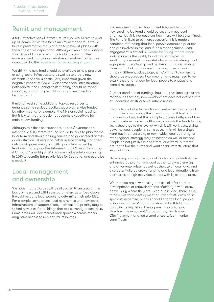#### Remit and management

A fully effective social infrastructure fund would aim to level up all communities to a basic minimum standard. It would have a preventative focus and be targeted at places with the highest civic deprivation. Although it would be a national fund, it would have a remit to give local communities more say and control over what really matters to them, as advocated by the Government'[s civil society strategy](https://www.gov.uk/government/publications/civil-society-strategy-building-a-future-that-works-for-everyone).

We think the new fund should be available to help preserve existing social infrastructure as well as to create new elements, and this is particularly important given the negative impact of Covid-19 on some social infrastructure. Both capital and running costs funding should be made available, and funding would in many cases need to be long-term.

It might invest some additional top-up resources to enhance some services locally that are otherwise funded by other means, for example, the NHS or social housing. But it is vital that funds do not become a substitute for mainstream funding.

Although this does not appear to be the Government's intention, a fully effective fund should be able to plan for the long-term and should be ring-fenced and guaranteed across administrations. It might be better independently managed outside of government, but with goals determined by Parliament, and priorities informed by a Citizen's Assembly. A Citizens' Assembly of 120 representative adults was set up in 2019 to identify future priorities for Scotland, and could be  $\alpha$  model  $24$ 

#### Local management and ownership

We hope that resources will be allocated to an area on the basis of need; and within the parameters described above, it would be up to local people to determine their priorities. For example, some areas need new homes and new social infrastructure to support them. In others, the priority may be to find new uses for buildings that are currently unoccupied. Some areas will lack recreational spaces whereas others may have access to rich natural resources.

It is welcome that the Government has decided that its new Levelling Up Fund should be used to meet local priorities, but it is not yet clear how these will be determined. The Fund is likely to be more successful if it is made a condition of funding that local people determine priorities and are involved in the local fund's management. Local engagement is critical. A [Centre for Policy Impact report,](https://mailchi.mp/centreforpublicimpact.org/how-can-uk-local-economies-best-respond-to-challenges-of-the-day) looking across the world, found that strategies for levelling up are most successful where there is strong local engagement, leadership and legitimacy, and ownership.25 Community hubs and connectors may have a role in bringing different voices together. Community ownership should be encouraged. New mechanisms may need to be established and funded for local people to engage and control resources.

Another condition of funding should be that local assets are mapped so that any new development does not overlap with or undermine existing social infrastructure.

It is unclear what role the Government envisages for local authorities in accessing their new fund, and it is vital that they are involved, but the principle of subsidiarity should be used in determining who ultimately controls the funds locally i.e. it should go to the level at which it will work best, giving power to local people. In some cases, this will be a single ward but in others a city or town-wide, local authority, or even regional strategy may be needed as well or instead. People do not just live in one street, or a ward, but move around to live their lives and want social infrastructure that supports this.

Depending on the project, local funds could potentially be enhanced by profits from local authority owned energy and other enterprises, as well as the use of local land, and also potentially by crowd-funding and local donations from businesses or high net value donors with links to the area.

Where there are new housing and social infrastructure developments or redevelopments affecting a wide area, particularly where they are using public land, there is likely to be a role for a development or urban trust, drawing in specialist expertise, but this should engage local people in its governance. Various models exist for this kind of body, including Urban Development Corporations, New Town Development Corporations, the Garden City Movement and, on a smaller scale, Community Land Trusts.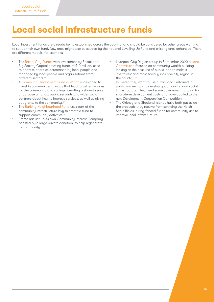# Local social infrastructure funds

Local investment funds are already being established across the country, and should be considered by other areas wanting to set up their own fund. New ones might also be seeded by the national Levelling Up Fund and existing ones enhanced. There are different models, for example:

- The [Bristol City Funds](https://bristolcityfunds.co.uk/about-us/), with investment by Bristol and Big Society Capital creating funds of £10 million, used to address priorities determined by local people and managed by local people and organisations from different sectors.<sup>26</sup>
- A [Community Investment Fund in Wigan](https://www.kingsfund.org.uk/publications/wigan-deal) is designed to invest in communities in ways that lead to better services for the community and savings, creating a shared sense of purpose amongst public servants and wider social partners about how to improve services, as well as giving out grants to the community.<sup>27</sup>
- The [Barking Neighbourhood Fund](https://www.lbbd.gov.uk/sites/default/files/attachments/Neighbourhood Fund %28NCIL%29 application guidance.pdf) uses part of the community infrastructure levy to create a fund to support community activities.<sup>28</sup>
- Frome has set up its own Community Interest Company, boosted by a large private donation, to help regenerate its community.
- Liverpool City Region set up in September 2020 a Land [Commission](https://cles.org.uk/blog/englands-first-land-commission-focused-on-community-wealth-building/) focused on community wealth building looking at the best use of public land to make it 'the fairest and most socially inclusive city region in the country'.29
- In Exeter, they want to use public land retained in public ownership - to develop good housing and social infrastructure. They need some government funding for short-term development costs and have applied to the new Development Corporation Competition.
- The Orkney and Shetland Islands have both put aside the proceeds they receive from servicing the North Sea oilfields in ring-fenced funds for community use to improve local infrastructure.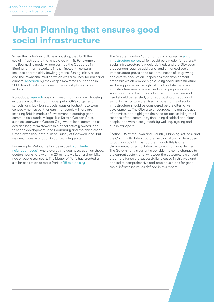## Urban Planning that ensures good social infrastructure

When the Victorians built new housing, they built the social infrastructure that should go with it. For example, the Bourneville model village built by the Cadburys in Birmingham for its workers in the nineteenth century included sports fields, bowling greens, fishing lakes, a lido and the Rowheath Pavilion which was also used for balls and dinners. [Research](https://heritagecalling.com/2017/08/31/from-factory-to-fireside-6-marvellous-model-villages/) by the Joseph Rowntree Foundation in 2003 found that it was 'one of the nicest places to live in Britain'.30

Nowadays, [research](https://www.transportfornewhomes.org.uk/wp-content/uploads/2018/07/transport-for-new-homes-summary-web.pdf ) has confirmed that many new housing estates are built without shops, pubs, GP's surgeries or schools, and lack buses, cycle ways or footpaths to town centres - homes built for cars, not people.<sup>31</sup> There are inspiring British models of investment in creating good communities: model villages like Saltair, Garden Cities such as Letchworth Garden City, where local communities exercise long-term stewardship of collectively owned land to shape development, and Poundbury and the Nandlesden Urban extension, both built on Duchy of Cornwall land. But we need more aspiration in our planning system.

For example, Melbourne has developed '[20 minute](https://www.planmelbourne.vic.gov.au/current-projects/20-minute-neighbourhoods)  [neighbourhoods](https://www.planmelbourne.vic.gov.au/current-projects/20-minute-neighbourhoods)', where everything you need, such as shops, doctors, parks, are within a 20 minute walk, or a short bike ride or public transport. The Mayor of Paris has created a similar aspiration to make Paris a '[15 minute city](https://www.theguardian.com/world/2020/feb/07/paris-mayor-unveils-15-minute-city-plan-in-re-election-campaign?fbclid=IwAR0Y_3l0uDuqEDJQM4u8VquVpULXGHVZgFPP_1HsVKDHZ9MJbhDUXpzwFbU)'.

The Greater London Authority has a progressive [social](https://www.london.gov.uk/what-we-do/planning/london-plan/current-london-plan/london-plan-chapter-3/policy-316-protection-and)  [infrastructure policy,](https://www.london.gov.uk/what-we-do/planning/london-plan/current-london-plan/london-plan-chapter-3/policy-316-protection-and) which could be a model for others.<sup>32</sup> Social infrastructure is widely defined, and the GLA says that London requires additional and enhanced social infrastructure provision to meet the needs of its growing and diverse population. It specifies that development proposals which provide high quality social infrastructure will be supported in the light of local and strategic social infrastructure needs assessments; and proposals which would result in a loss of social infrastructure in areas of need should be resisted, and repurposing of redundant social infrastructure premises for other forms of social infrastructure should be considered before alternative developments. The GLA also encourages the multiple use of premises and highlights the need for accessibility to all sections of the community (including disabled and older people) and within easy reach by walking, cycling and public transport.

Section 106 of the Town and Country Planning Act 1990 and the Community Infrastructure Levy do allow for developers to pay for social infrastructure, though this is often circumvented or social infrastructure is narrowly defined. The Government is currently considering some changes to the current system and, whatever the outcome, it is critical that more funds are successfully released in this way and applied to comprehensive and ambitious plans for good social infrastructure, as defined in this report.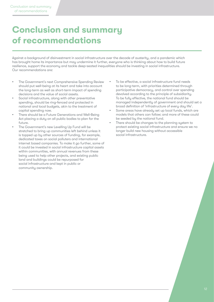## Conclusion and summary of recommendations

Against a background of disinvestment in social infrastructure over the decade of austerity, and a pandemic which has brought home its importance but may undermine it further, everyone who is thinking about how to build future resilience, support the economy and tackle deep-seated inequalities should be investing in social infrastructure. Our recommendations are:

- The Government's next Comprehensive Spending Review should put well-being at its heart and take into account the long-term as well as short-term impact of spending decisions and the value of social assets.
- Social infrastructure, along with other preventative spending, should be ring-fenced and protected in national and local budgets, akin to the treatment of capital spending now.
- There should be a Future Generations and Well-Being Act placing a duty on all public bodies to plan for the future.
- The Government's new Levelling Up Fund will be stretched to bring up communities left behind unless it is topped up by other sources of funding, for example, dedicated taxes on social polluters and international internet based companies. To make it go further, some of it could be invested in social infrastructure capital assets within communities, with annual revenues from these being used to help other projects, and existing public land and buildings could be repurposed for social infrastructure and kept in public or community ownership.
- To be effective, a social infrastructure fund needs to be long-term, with priorities determined through participative democracy, and control over spending devolved according to the principle of subsidiarity. To be fully effective, the national fund should be managed independently of government and should set a broad definition of 'infrastructure of every day life'.
- Some areas have already set up local funds, which are models that others can follow; and more of these could be seeded by the national fund.
- There should be changes to the planning system to protect existing social infrastructure and ensure we no longer build new housing without accessible social infrastructure.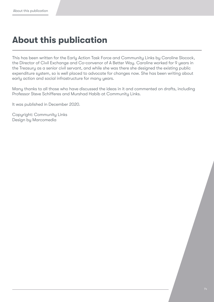# About this publication

This has been written for the Early Action Task Force and Community Links by Caroline Slocock, the Director of Civil Exchange and Co-convenor of A Better Way. Caroline worked for 9 years in the Treasury as a senior civil servant, and while she was there she designed the existing public expenditure system, so is well placed to advocate for changes now. She has been writing about early action and social infrastructure for many years.

Many thanks to all those who have discussed the ideas in it and commented on drafts, including Professor Steve Schifferes and Murshad Habib at Community Links.

It was published in December 2020.

Copyright: Community Links Design by Marcomedia